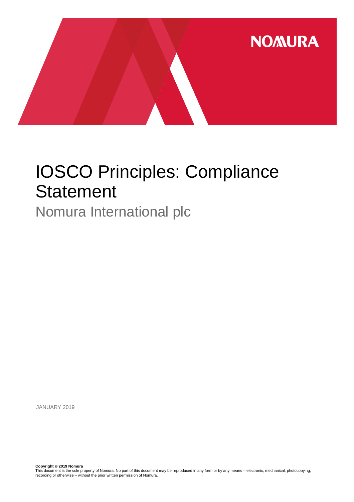

# IOSCO Principles: Compliance **Statement**

Nomura International plc

JANUARY 2019

**Copyright © 2019 Nomura**<br>This document is the sole property of Nomura. No part of this document may be reproduced in any form or by any means – electronic, mechanical, photocopying,<br>recording or otherwise – without the pr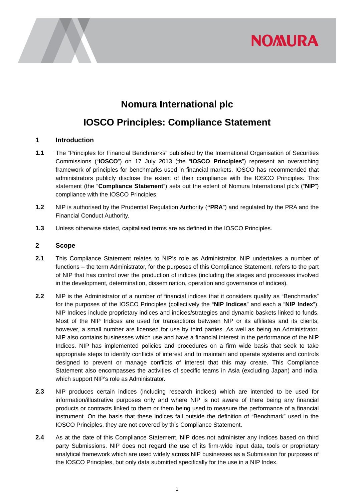

## **Nomura International plc**

### **IOSCO Principles: Compliance Statement**

#### **1 Introduction**

- **1.1** The "Principles for Financial Benchmarks" published by the International Organisation of Securities Commissions ("**IOSCO**") on 17 July 2013 (the "**IOSCO Principles**") represent an overarching framework of principles for benchmarks used in financial markets. IOSCO has recommended that administrators publicly disclose the extent of their compliance with the IOSCO Principles. This statement (the "**Compliance Statement**") sets out the extent of Nomura International plc's ("**NIP**") compliance with the IOSCO Principles.
- **1.2** NIP is authorised by the Prudential Regulation Authority (**"PRA**") and regulated by the PRA and the Financial Conduct Authority.
- **1.3** Unless otherwise stated, capitalised terms are as defined in the IOSCO Principles.

#### **2 Scope**

- **2.1** This Compliance Statement relates to NIP's role as Administrator. NIP undertakes a number of functions – the term Administrator, for the purposes of this Compliance Statement, refers to the part of NIP that has control over the production of indices (including the stages and processes involved in the development, determination, dissemination, operation and governance of indices).
- **2.2** NIP is the Administrator of a number of financial indices that it considers qualify as "Benchmarks" for the purposes of the IOSCO Principles (collectively the "**NIP Indices**" and each a "**NIP Index**"). NIP Indices include proprietary indices and indices/strategies and dynamic baskets linked to funds. Most of the NIP Indices are used for transactions between NIP or its affiliates and its clients, however, a small number are licensed for use by third parties. As well as being an Administrator, NIP also contains businesses which use and have a financial interest in the performance of the NIP Indices. NIP has implemented policies and procedures on a firm wide basis that seek to take appropriate steps to identify conflicts of interest and to maintain and operate systems and controls designed to prevent or manage conflicts of interest that this may create. This Compliance Statement also encompasses the activities of specific teams in Asia (excluding Japan) and India, which support NIP's role as Administrator.
- **2.3** NIP produces certain indices (including research indices) which are intended to be used for information/illustrative purposes only and where NIP is not aware of there being any financial products or contracts linked to them or them being used to measure the performance of a financial instrument. On the basis that these indices fall outside the definition of "Benchmark" used in the IOSCO Principles, they are not covered by this Compliance Statement.
- **2.4** As at the date of this Compliance Statement, NIP does not administer any indices based on third party Submissions. NIP does not regard the use of its firm-wide input data, tools or proprietary analytical framework which are used widely across NIP businesses as a Submission for purposes of the IOSCO Principles, but only data submitted specifically for the use in a NIP Index.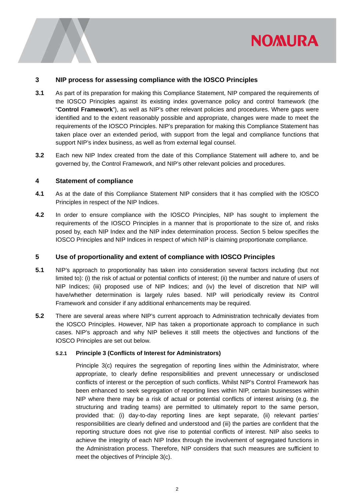

#### **3 NIP process for assessing compliance with the IOSCO Principles**

- **3.1** As part of its preparation for making this Compliance Statement, NIP compared the requirements of the IOSCO Principles against its existing index governance policy and control framework (the "**Control Framework**"), as well as NIP's other relevant policies and procedures. Where gaps were identified and to the extent reasonably possible and appropriate, changes were made to meet the requirements of the IOSCO Principles. NIP's preparation for making this Compliance Statement has taken place over an extended period, with support from the legal and compliance functions that support NIP's index business, as well as from external legal counsel.
- **3.2** Each new NIP Index created from the date of this Compliance Statement will adhere to, and be governed by, the Control Framework, and NIP's other relevant policies and procedures.

#### **4 Statement of compliance**

- **4.1** As at the date of this Compliance Statement NIP considers that it has complied with the IOSCO Principles in respect of the NIP Indices.
- **4.2** In order to ensure compliance with the IOSCO Principles, NIP has sought to implement the requirements of the IOSCO Principles in a manner that is proportionate to the size of, and risks posed by, each NIP Index and the NIP index determination process. Section 5 below specifies the IOSCO Principles and NIP Indices in respect of which NIP is claiming proportionate compliance.

#### **5 Use of proportionality and extent of compliance with IOSCO Principles**

- **5.1** NIP's approach to proportionality has taken into consideration several factors including (but not limited to): (i) the risk of actual or potential conflicts of interest; (ii) the number and nature of users of NIP Indices; (iii) proposed use of NIP Indices; and (iv) the level of discretion that NIP will have/whether determination is largely rules based. NIP will periodically review its Control Framework and consider if any additional enhancements may be required.
- **5.2** There are several areas where NIP's current approach to Administration technically deviates from the IOSCO Principles. However, NIP has taken a proportionate approach to compliance in such cases. NIP's approach and why NIP believes it still meets the objectives and functions of the IOSCO Principles are set out below.

#### **5.2.1 Principle 3 (Conflicts of Interest for Administrators)**

Principle 3(c) requires the segregation of reporting lines within the Administrator, where appropriate, to clearly define responsibilities and prevent unnecessary or undisclosed conflicts of interest or the perception of such conflicts. Whilst NIP's Control Framework has been enhanced to seek segregation of reporting lines within NIP, certain businesses within NIP where there may be a risk of actual or potential conflicts of interest arising (e.g. the structuring and trading teams) are permitted to ultimately report to the same person, provided that: (i) day-to-day reporting lines are kept separate, (ii) relevant parties' responsibilities are clearly defined and understood and (iii) the parties are confident that the reporting structure does not give rise to potential conflicts of interest. NIP also seeks to achieve the integrity of each NIP Index through the involvement of segregated functions in the Administration process. Therefore, NIP considers that such measures are sufficient to meet the objectives of Principle 3(c).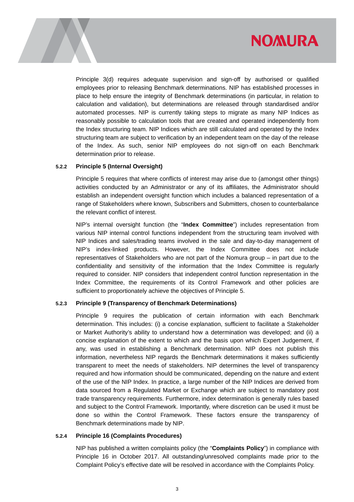

Principle 3(d) requires adequate supervision and sign-off by authorised or qualified employees prior to releasing Benchmark determinations. NIP has established processes in place to help ensure the integrity of Benchmark determinations (in particular, in relation to calculation and validation), but determinations are released through standardised and/or automated processes. NIP is currently taking steps to migrate as many NIP Indices as reasonably possible to calculation tools that are created and operated independently from the Index structuring team. NIP Indices which are still calculated and operated by the Index structuring team are subject to verification by an independent team on the day of the release of the Index. As such, senior NIP employees do not sign-off on each Benchmark determination prior to release.

#### **5.2.2 Principle 5 (Internal Oversight)**

Principle 5 requires that where conflicts of interest may arise due to (amongst other things) activities conducted by an Administrator or any of its affiliates, the Administrator should establish an independent oversight function which includes a balanced representation of a range of Stakeholders where known, Subscribers and Submitters, chosen to counterbalance the relevant conflict of interest.

NIP's internal oversight function (the "**Index Committee**") includes representation from various NIP internal control functions independent from the structuring team involved with NIP Indices and sales/trading teams involved in the sale and day-to-day management of NIP's index-linked products. However, the Index Committee does not include representatives of Stakeholders who are not part of the Nomura group – in part due to the confidentiality and sensitivity of the information that the Index Committee is regularly required to consider. NIP considers that independent control function representation in the Index Committee, the requirements of its Control Framework and other policies are sufficient to proportionately achieve the objectives of Principle 5.

#### **5.2.3 Principle 9 (Transparency of Benchmark Determinations)**

Principle 9 requires the publication of certain information with each Benchmark determination. This includes: (i) a concise explanation, sufficient to facilitate a Stakeholder or Market Authority's ability to understand how a determination was developed; and (ii) a concise explanation of the extent to which and the basis upon which Expert Judgement, if any, was used in establishing a Benchmark determination. NIP does not publish this information, nevertheless NIP regards the Benchmark determinations it makes sufficiently transparent to meet the needs of stakeholders. NIP determines the level of transparency required and how information should be communicated, depending on the nature and extent of the use of the NIP Index. In practice, a large number of the NIP Indices are derived from data sourced from a Regulated Market or Exchange which are subject to mandatory post trade transparency requirements. Furthermore, index determination is generally rules based and subject to the Control Framework. Importantly, where discretion can be used it must be done so within the Control Framework. These factors ensure the transparency of Benchmark determinations made by NIP.

#### **5.2.4 Principle 16 (Complaints Procedures)**

NIP has published a written complaints policy (the "**Complaints Policy**") in compliance with Principle 16 in October 2017. All outstanding/unresolved complaints made prior to the Complaint Policy's effective date will be resolved in accordance with the Complaints Policy.